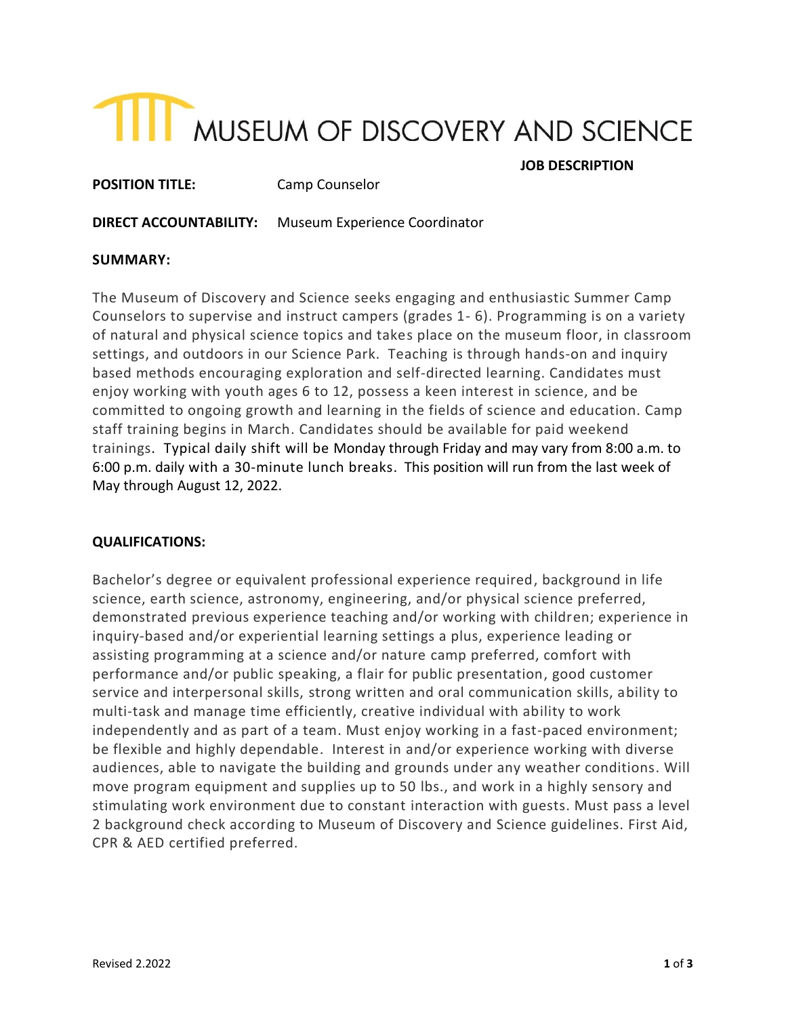# THE MUSEUM OF DISCOVERY AND SCIENCE

 **JOB DESCRIPTION**

**POSITION TITLE:** Camp Counselor

**DIRECT ACCOUNTABILITY:** Museum Experience Coordinator

# **SUMMARY:**

The Museum of Discovery and Science seeks engaging and enthusiastic Summer Camp Counselors to supervise and instruct campers (grades 1- 6). Programming is on a variety of natural and physical science topics and takes place on the museum floor, in classroom settings, and outdoors in our Science Park. Teaching is through hands-on and inquiry based methods encouraging exploration and self-directed learning. Candidates must enjoy working with youth ages 6 to 12, possess a keen interest in science, and be committed to ongoing growth and learning in the fields of science and education. Camp staff training begins in March. Candidates should be available for paid weekend trainings. Typical daily shift will be Monday through Friday and may vary from 8:00 a.m. to 6:00 p.m. daily with a 30-minute lunch breaks. This position will run from the last week of May through August 12, 2022.

# **QUALIFICATIONS:**

Bachelor's degree or equivalent professional experience required, background in life science, earth science, astronomy, engineering, and/or physical science preferred, demonstrated previous experience teaching and/or working with children; experience in inquiry-based and/or experiential learning settings a plus, experience leading or assisting programming at a science and/or nature camp preferred, comfort with performance and/or public speaking, a flair for public presentation, good customer service and interpersonal skills, strong written and oral communication skills, ability to multi-task and manage time efficiently, creative individual with ability to work independently and as part of a team. Must enjoy working in a fast-paced environment; be flexible and highly dependable. Interest in and/or experience working with diverse audiences, able to navigate the building and grounds under any weather conditions. Will move program equipment and supplies up to 50 lbs., and work in a highly sensory and stimulating work environment due to constant interaction with guests. Must pass a level 2 background check according to Museum of Discovery and Science guidelines. First Aid, CPR & AED certified preferred.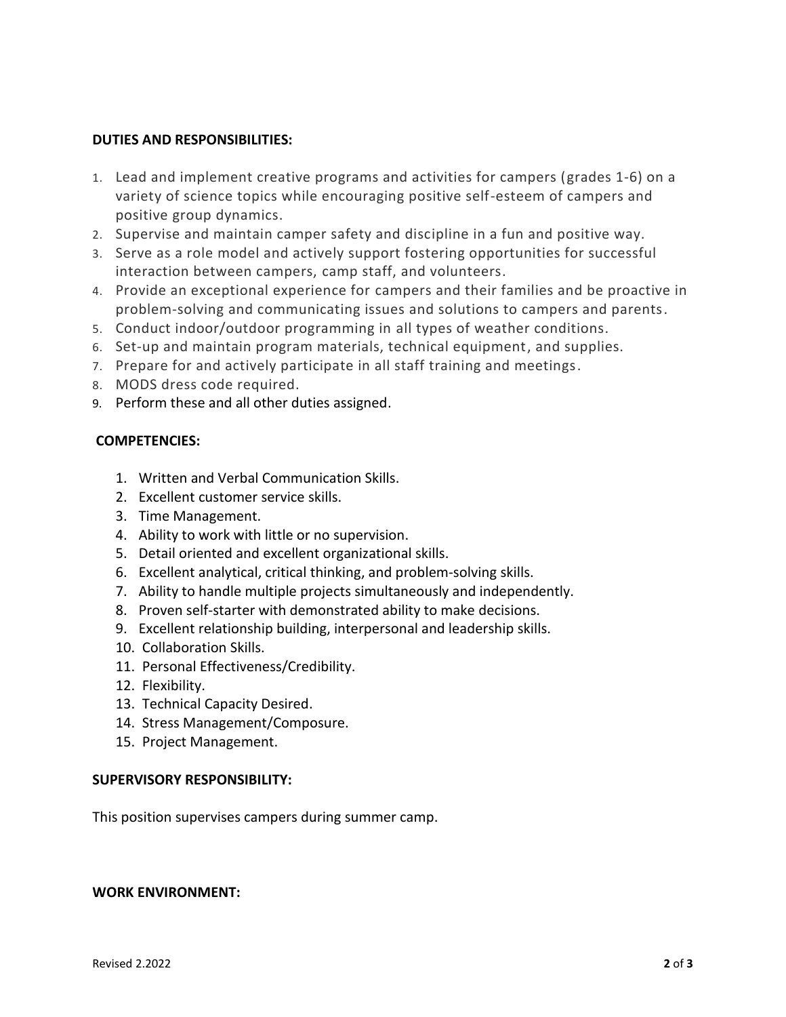#### **DUTIES AND RESPONSIBILITIES:**

- 1. Lead and implement creative programs and activities for campers (grades 1-6) on a variety of science topics while encouraging positive self-esteem of campers and positive group dynamics.
- 2. Supervise and maintain camper safety and discipline in a fun and positive way.
- 3. Serve as a role model and actively support fostering opportunities for successful interaction between campers, camp staff, and volunteers.
- 4. Provide an exceptional experience for campers and their families and be proactive in problem-solving and communicating issues and solutions to campers and parents.
- 5. Conduct indoor/outdoor programming in all types of weather conditions.
- 6. Set-up and maintain program materials, technical equipment, and supplies.
- 7. Prepare for and actively participate in all staff training and meetings.
- 8. MODS dress code required.
- 9. Perform these and all other duties assigned.

# **COMPETENCIES:**

- 1. Written and Verbal Communication Skills.
- 2. Excellent customer service skills.
- 3. Time Management.
- 4. Ability to work with little or no supervision.
- 5. Detail oriented and excellent organizational skills.
- 6. Excellent analytical, critical thinking, and problem-solving skills.
- 7. Ability to handle multiple projects simultaneously and independently.
- 8. Proven self-starter with demonstrated ability to make decisions.
- 9. Excellent relationship building, interpersonal and leadership skills.
- 10. Collaboration Skills.
- 11. Personal Effectiveness/Credibility.
- 12. Flexibility.
- 13. Technical Capacity Desired.
- 14. Stress Management/Composure.
- 15. Project Management.

# **SUPERVISORY RESPONSIBILITY:**

This position supervises campers during summer camp.

#### **WORK ENVIRONMENT:**